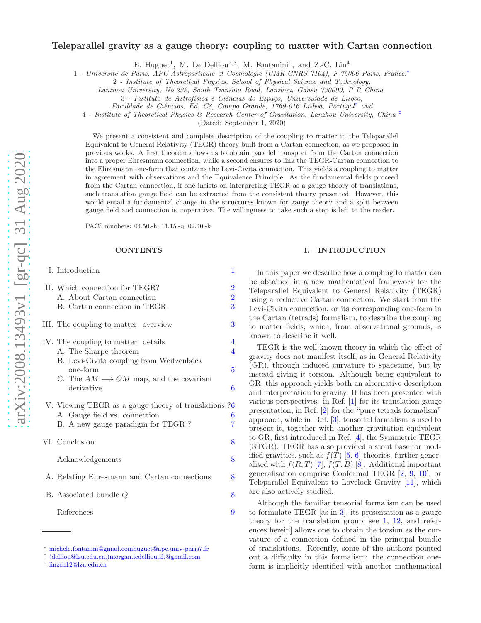# Teleparallel gravity as a gauge theory: coupling to matter with Cartan connection

E. Huguet<sup>1</sup>, M. Le Delliou<sup>2,3</sup>, M. Fontanini<sup>1</sup>, and Z.-C. Lin<sup>4</sup>

1 - Universit´e de Paris, APC-Astroparticule et Cosmologie (UMR-CNRS 7164), F-75006 Paris, France.[∗](#page-0-0)

2 - Institute of Theoretical Physics, School of Physical Science and Technology,

Lanzhou University, No.222, South Tianshui Road, Lanzhou, Gansu 730000, P R China

3 - Instituto de Astrofísica e Ciências do Espaço, Universidade de Lisboa,

Faculdade de Ciências, Ed. C8, Campo Grande, 1769-016 Lisboa, Portugal<sup>[†](#page-0-1)</sup> and

4 - Institute of Theoretical Physics & Research Center of Gravitation, Lanzhou University, China [‡](#page-0-2)

(Dated: September 1, 2020)

We present a consistent and complete description of the coupling to matter in the Teleparallel Equivalent to General Relativity (TEGR) theory built from a Cartan connection, as we proposed in previous works. A first theorem allows us to obtain parallel transport from the Cartan connection into a proper Ehresmann connection, while a second ensures to link the TEGR-Cartan connection to the Ehresmann one-form that contains the Levi-Civita connection. This yields a coupling to matter in agreement with observations and the Equivalence Principle. As the fundamental fields proceed from the Cartan connection, if one insists on interpreting TEGR as a gauge theory of translations, such translation gauge field can be extracted from the consistent theory presented. However, this would entail a fundamental change in the structures known for gauge theory and a split between gauge field and connection is imperative. The willingness to take such a step is left to the reader.

PACS numbers: 04.50.-h, 11.15.-q, 02.40.-k

### **CONTENTS**

| I. Introduction                                                                                                                                                                             | 1                                     |
|---------------------------------------------------------------------------------------------------------------------------------------------------------------------------------------------|---------------------------------------|
| II. Which connection for TEGR?<br>A. About Cartan connection<br>B. Cartan connection in TEGR                                                                                                | $\overline{2}$<br>$\overline{2}$<br>3 |
| III. The coupling to matter: overview                                                                                                                                                       | 3                                     |
| IV. The coupling to matter: details<br>A. The Sharpe theorem<br>B. Levi-Civita coupling from Weitzenböck<br>one-form<br>C. The $AM \longrightarrow OM$ map, and the covariant<br>derivative | 4<br>4<br>5<br>6                      |
| V. Viewing TEGR as a gauge theory of translations ?6<br>A. Gauge field vs. connection<br>B. A new gauge paradigm for TEGR?                                                                  | 6<br>$\overline{7}$                   |
| VI. Conclusion                                                                                                                                                                              | 8                                     |
| Acknowledgements                                                                                                                                                                            | 8                                     |
| A. Relating Ehresmann and Cartan connections                                                                                                                                                | 8                                     |
| B. Associated bundle $Q$                                                                                                                                                                    | 8                                     |
| References                                                                                                                                                                                  | 9                                     |

## <span id="page-0-3"></span>I. INTRODUCTION

In this paper we describe how a coupling to matter can be obtained in a new mathematical framework for the Teleparallel Equivalent to General Relativity (TEGR) using a reductive Cartan connection. We start from the Levi-Civita connection, or its corresponding one-form in the Cartan (tetrads) formalism, to describe the coupling to matter fields, which, from observational grounds, is known to describe it well.

TEGR is the well known theory in which the effect of gravity does not manifest itself, as in General Relativity (GR), through induced curvature to spacetime, but by instead giving it torsion. Although being equivalent to GR, this approach yields both an alternative description and interpretation to gravity. It has been presented with various perspectives: in Ref. [\[1](#page-8-1)] for its translation-gauge presentation, in Ref. [\[2\]](#page-8-2) for the "pure tetrads formalism" approach, while in Ref. [\[3\]](#page-8-3), tensorial formalism is used to present it, together with another gravitation equivalent to GR, first introduced in Ref. [\[4](#page-8-4)], the Symmetric TEGR (STGR). TEGR has also provided a stout base for modified gravities, such as  $f(T)$  [\[5](#page-8-5), [6\]](#page-8-6) theories, further generalised with  $f(R, T)$  [\[7\]](#page-8-7),  $f(T, B)$  [\[8\]](#page-8-8). Additional important generalisation comprise Conformal TEGR [\[2](#page-8-2), [9](#page-8-9), [10](#page-8-10)], or Teleparallel Equivalent to Lovelock Gravity [\[11](#page-8-11)], which are also actively studied.

Although the familiar tensorial formalism can be used to formulate TEGR [as in [3\]](#page-8-3), its presentation as a gauge theory for the translation group [see [1,](#page-8-1) [12](#page-8-12), and references herein] allows one to obtain the torsion as the curvature of a connection defined in the principal bundle of translations. Recently, some of the authors pointed out a difficulty in this formalism: the connection oneform is implicitly identified with another mathematical

<span id="page-0-0"></span><sup>∗</sup> [michele.fontanini@gmail.comhuguet@apc.univ-paris7.fr](mailto:michele.fontanini@gmail.com\ huguet@apc.univ-paris7.fr)

<span id="page-0-1"></span><sup>†</sup> [\(delliou@lzu.edu.cn,\)morgan.ledelliou.ift@gmail.com](mailto:(delliou@lzu.edu.cn,)morgan.ledelliou.ift@gmail.com)

<span id="page-0-2"></span><sup>‡</sup> [linzch12@lzu.edu.cn](mailto:linzch12@lzu.edu.cn)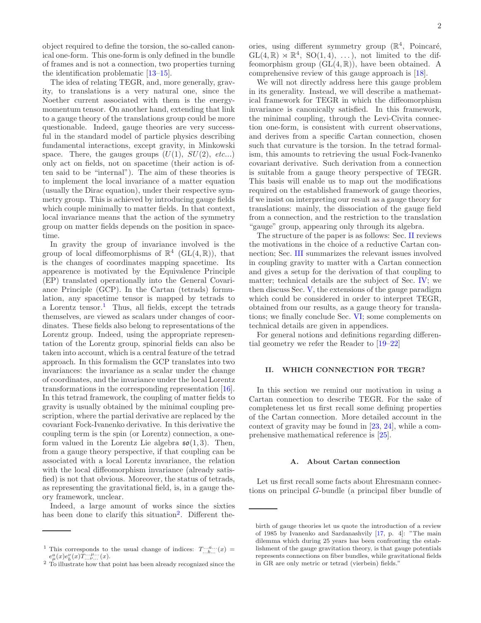object required to define the torsion, the so-called canonical one-form. This one-form is only defined in the bundle of frames and is not a connection, two properties turning the identification problematic [\[13](#page-8-13)[–15\]](#page-8-14).

The idea of relating TEGR, and, more generally, gravity, to translations is a very natural one, since the Noether current associated with them is the energymomentum tensor. On another hand, extending that link to a gauge theory of the translations group could be more questionable. Indeed, gauge theories are very successful in the standard model of particle physics describing fundamental interactions, except gravity, in Minkowski space. There, the gauges groups  $(U(1), SU(2), etc...)$ only act on fields, not on spacetime (their action is often said to be "internal"). The aim of these theories is to implement the local invariance of a matter equation (usually the Dirac equation), under their respective symmetry group. This is achieved by introducing gauge fields which couple minimally to matter fields. In that context, local invariance means that the action of the symmetry group on matter fields depends on the position in spacetime.

In gravity the group of invariance involved is the group of local diffeomorphisms of  $\mathbb{R}^4$  (GL(4,  $\mathbb{R}$ )), that is the changes of coordinates mapping spacetime. Its appearence is motivated by the Equivalence Principle (EP) translated operationally into the General Covariance Principle (GCP). In the Cartan (tetrads) formulation, any spacetime tensor is mapped by tetrads to a Lorentz tensor.<sup>[1](#page-1-2)</sup> Thus, all fields, except the tetrads themselves, are viewed as scalars under changes of coordinates. These fields also belong to representations of the Lorentz group. Indeed, using the appropriate representation of the Lorentz group, spinorial fields can also be taken into account, which is a central feature of the tetrad approach. In this formalism the GCP translates into two invariances: the invariance as a scalar under the change of coordinates, and the invariance under the local Lorentz transformations in the corresponding representation [\[16\]](#page-8-15). In this tetrad framework, the coupling of matter fields to gravity is usually obtained by the minimal coupling prescription, where the partial derivative are replaced by the covariant Fock-Ivanenko derivative. In this derivative the coupling term is the spin (or Lorentz) connection, a oneform valued in the Lorentz Lie algebra  $\mathfrak{so}(1,3)$ . Then, from a gauge theory perspective, if that coupling can be associated with a local Lorentz invariance, the relation with the local diffeomorphism invariance (already satisfied) is not that obvious. Moreover, the status of tetrads, as representing the gravitational field, is, in a gauge theory framework, unclear.

Indeed, a large amount of works since the sixties has been done to clarify this situation<sup>[2](#page-1-3)</sup>. Different the-

ories, using different symmetry group  $(\mathbb{R}^4, \text{ Poincaré},$  $GL(4,\mathbb{R})\rtimes\mathbb{R}^4$ ,  $SO(1,4), \ldots$ , not limited to the diffeomorphism group  $(GL(4, \mathbb{R}))$ , have been obtained. A comprehensive review of this gauge approach is [\[18\]](#page-8-16).

We will not directly address here this gauge problem in its generality. Instead, we will describe a mathematical framework for TEGR in which the diffeomorphism invariance is canonically satisfied. In this framework, the minimal coupling, through the Levi-Civita connection one-form, is consistent with current observations, and derives from a specific Cartan connection, chosen such that curvature is the torsion. In the tetrad formalism, this amounts to retrieving the usual Fock-Ivanenko covariant derivative. Such derivation from a connection is suitable from a gauge theory perspective of TEGR. This basis will enable us to map out the modifications required on the established framework of gauge theories, if we insist on interpreting our result as a gauge theory for translations: mainly, the dissociation of the gauge field from a connection, and the restriction to the translation "gauge" group, appearing only through its algebra.

The structure of the paper is as follows: Sec. [II](#page-1-0) reviews the motivations in the choice of a reductive Cartan connection; Sec. [III](#page-2-1) summarizes the relevant issues involved in coupling gravity to matter with a Cartan connection and gives a setup for the derivation of that coupling to matter; technical details are the subject of Sec. [IV;](#page-3-0) we then discuss Sec. [V,](#page-5-1) the extensions of the gauge paradigm which could be considered in order to interpret TEGR, obtained from our results, as a gauge theory for translations; we finally conclude Sec. [VI;](#page-7-0) some complements on technical details are given in appendices.

For general notions and definitions regarding differential geometry we refer the Reader to [\[19](#page-8-17)[–22\]](#page-8-18)

## <span id="page-1-0"></span>II. WHICH CONNECTION FOR TEGR?

In this section we remind our motivation in using a Cartan connection to describe TEGR. For the sake of completeness let us first recall some defining properties of the Cartan connection. More detailed account in the context of gravity may be found in [\[23](#page-8-19), [24\]](#page-8-20), while a comprehensive mathematical reference is [\[25\]](#page-8-21).

### <span id="page-1-1"></span>A. About Cartan connection

Let us first recall some facts about Ehresmann connections on principal G-bundle (a principal fiber bundle of

<sup>&</sup>lt;sup>1</sup> This corresponds to the usual change of indices:  $T_{...b...}^{...a...}(x) =$  $e^a_\mu(x)e^\nu_b(x)T^{\ldots\mu\ldots}_{\ldots\nu\ldots}(x).$ 

<span id="page-1-3"></span><span id="page-1-2"></span><sup>&</sup>lt;sup>2</sup> To illustrate how that point has been already recognized since the

birth of gauge theories let us quote the introduction of a review of 1985 by Ivanenko and Sardanashvily [\[17](#page-8-22), p. 4]: "The main dilemma which during 25 years has been confronting the establishment of the gauge gravitation theory, is that gauge potentials represents connections on fiber bundles, while gravitational fields in GR are only metric or tetrad (vierbein) fields."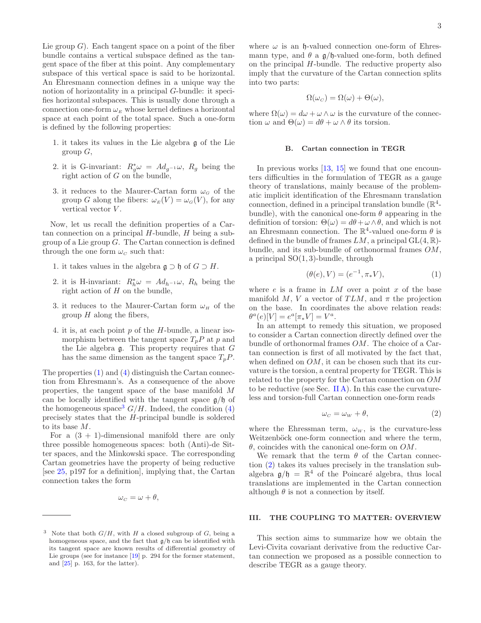Lie group  $G$ ). Each tangent space on a point of the fiber bundle contains a vertical subspace defined as the tangent space of the fiber at this point. Any complementary subspace of this vertical space is said to be horizontal. An Ehresmann connection defines in a unique way the notion of horizontality in a principal G-bundle: it specifies horizontal subspaces. This is usually done through a connection one-form  $\omega_E$  whose kernel defines a horizontal space at each point of the total space. Such a one-form is defined by the following properties:

- 1. it takes its values in the Lie algebra g of the Lie group  $G$ ,
- 2. it is G-invariant:  $R_g^* \omega = Ad_{g^{-1}} \omega$ ,  $R_g$  being the right action of G on the bundle,
- 3. it reduces to the Maurer-Cartan form  $\omega_G$  of the group G along the fibers:  $\omega_E(V) = \omega_G(V)$ , for any vertical vector V.

Now, let us recall the definition properties of a Cartan connection on a principal  $H$ -bundle,  $H$  being a subgroup of a Lie group  $G$ . The Cartan connection is defined through the one form  $\omega_c$  such that:

- <span id="page-2-2"></span>1. it takes values in the algebra  $\mathfrak{g} \supset \mathfrak{h}$  of  $G \supset H$ .
- 2. it is H-invariant:  $R_h^* \omega = Ad_{h^{-1}} \omega$ ,  $R_h$  being the right action of  $H$  on the bundle,
- 3. it reduces to the Maurer-Cartan form  $\omega_H$  of the group  $H$  along the fibers,
- <span id="page-2-3"></span>4. it is, at each point  $p$  of the  $H$ -bundle, a linear isomorphism between the tangent space  $T_pP$  at p and the Lie algebra  $\mathfrak g$ . This property requires that  $G$ has the same dimension as the tangent space  $T_pP$ .

The properties [\(1\)](#page-2-2) and [\(4\)](#page-2-3) distinguish the Cartan connection from Ehresmann's. As a consequence of the above properties, the tangent space of the base manifold M can be locally identified with the tangent space  $g/f$  of the homogeneous space<sup>[3](#page-2-4)</sup>  $G/H$ . Indeed, the condition [\(4\)](#page-2-3) precisely states that the H-principal bundle is soldered to its base M.

For a  $(3 + 1)$ -dimensional manifold there are only three possible homogeneous spaces: both (Anti)-de Sitter spaces, and the Minkowski space. The corresponding Cartan geometries have the property of being reductive [see [25,](#page-8-21) p197 for a definition], implying that, the Cartan connection takes the form

$$
\omega_C = \omega + \theta,
$$

where  $\omega$  is an  $\mathfrak h$ -valued connection one-form of Ehresmann type, and  $\theta$  a  $\frac{g}{h}$ -valued one-form, both defined on the principal H-bundle. The reductive property also imply that the curvature of the Cartan connection splits into two parts:

$$
\Omega(\omega_c) = \Omega(\omega) + \Theta(\omega),
$$

where  $\Omega(\omega) = d\omega + \omega \wedge \omega$  is the curvature of the connection  $\omega$  and  $\Theta(\omega) = d\theta + \omega \wedge \theta$  its torsion.

## <span id="page-2-0"></span>B. Cartan connection in TEGR

In previous works  $[13, 15]$  $[13, 15]$  we found that one encounters difficulties in the formulation of TEGR as a gauge theory of translations, mainly because of the problematic implicit identification of the Ehresmann translation connection, defined in a principal translation bundle  $(\mathbb{R}^4)$ bundle), with the canonical one-form  $\theta$  appearing in the definition of torsion:  $\Theta(\omega) = d\theta + \omega \wedge \theta$ , and which is not an Ehresmann connection. The  $\mathbb{R}^4$ -valued one-form  $\theta$  is defined in the bundle of frames  $LM$ , a principal  $GL(4, \mathbb{R})$ bundle, and its sub-bundle of orthonormal frames OM, a principal  $SO(1,3)$ -bundle, through

$$
(\theta(e), V) = (e^{-1}, \pi_* V), \tag{1}
$$

where  $e$  is a frame in  $LM$  over a point  $x$  of the base manifold M, V a vector of TLM, and  $\pi$  the projection on the base. In coordinates the above relation reads:  $\theta^{a}(e)[V] = e^{a}[\pi_{*}V] = V^{a}.$ 

In an attempt to remedy this situation, we proposed to consider a Cartan connection directly defined over the bundle of orthonormal frames OM. The choice of a Cartan connection is first of all motivated by the fact that, when defined on  $OM$ , it can be chosen such that its curvature is the torsion, a central property for TEGR. This is related to the property for the Cartan connection on OM to be reductive (see Sec. [II A\)](#page-1-1). In this case the curvatureless and torsion-full Cartan connection one-form reads

<span id="page-2-5"></span>
$$
\omega_C = \omega_W + \theta,\tag{2}
$$

where the Ehressman term,  $\omega_W$ , is the curvature-less Weitzenböck one-form connection and where the term, θ, coincides with the canonical one-form on OM.

We remark that the term  $\theta$  of the Cartan connection [\(2\)](#page-2-5) takes its values precisely in the translation subalgebra  $\mathfrak{g}/\mathfrak{h} = \mathbb{R}^4$  of the Poincaré algebra, thus local translations are implemented in the Cartan connection although  $\theta$  is not a connection by itself.

## <span id="page-2-1"></span>III. THE COUPLING TO MATTER: OVERVIEW

This section aims to summarize how we obtain the Levi-Civita covariant derivative from the reductive Cartan connection we proposed as a possible connection to describe TEGR as a gauge theory.

<span id="page-2-4"></span><sup>&</sup>lt;sup>3</sup> Note that both  $G/H$ , with H a closed subgroup of G, being a homogeneous space, and the fact that  $g/f$  can be identified with its tangent space are known results of differential geometry of Lie groups (see for instance [\[19](#page-8-17)] p. 294 for the former statement, and [\[25\]](#page-8-21) p. 163, for the latter).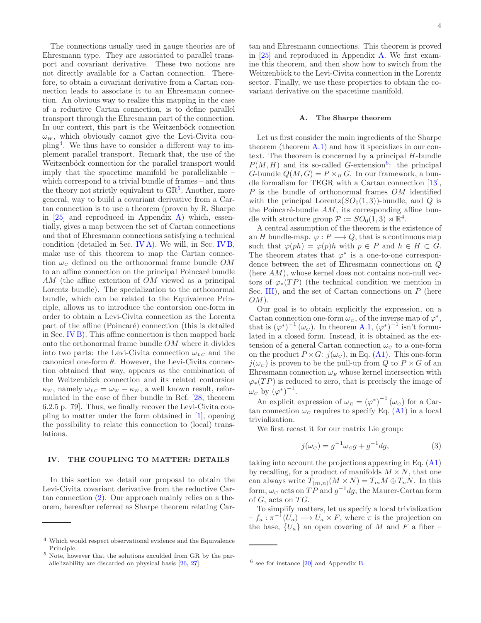The connections usually used in gauge theories are of Ehresmann type. They are associated to parallel transport and covariant derivative. These two notions are not directly available for a Cartan connection. Therefore, to obtain a covariant derivative from a Cartan connection leads to associate it to an Ehresmann connection. An obvious way to realize this mapping in the case of a reductive Cartan connection, is to define parallel transport through the Ehresmann part of the connection. In our context, this part is the Weitzenböck connection  $\omega_W$ , which obviously cannot give the Levi-Civita coupling[4](#page-3-2) . We thus have to consider a different way to implement parallel transport. Remark that, the use of the Weitzenböck connection for the parallel transport would imply that the spacetime manifold be parallelizable – which correspond to a trivial bundle of frames – and thus the theory not strictly equivalent to  $\text{GR}^5$  $\text{GR}^5$ . Another, more general, way to build a covariant derivative from a Cartan connection is to use a theorem (proven by R. Sharpe in  $[25]$  and reproduced in Appendix [A\)](#page-7-2) which, essentially, gives a map between the set of Cartan connections and that of Ehresmann connections satisfying a technical condition (detailed in Sec. [IV A\)](#page-3-1). We will, in Sec. [IV B,](#page-4-0) make use of this theorem to map the Cartan connection  $\omega_c$  defined on the orthonormal frame bundle OM to an affine connection on the principal Poincaré bundle AM (the affine extention of OM viewed as a principal Lorentz bundle). The specialization to the orthonormal bundle, which can be related to the Equivalence Principle, allows us to introduce the contorsion one-form in order to obtain a Levi-Civita connection as the Lorentz part of the affine (Poincaré) connection (this is detailed in Sec. [IV B\)](#page-4-0). This affine connection is then mapped back onto the orthonormal frame bundle OM where it divides into two parts: the Levi-Civita connection  $\omega_{LC}$  and the canonical one-form  $\theta$ . However, the Levi-Civita connection obtained that way, appears as the combination of the Weitzenböck connection and its related contorsion  $\kappa_W$ , namely  $\omega_{LC} = \omega_W - \kappa_W$ , a well known result, reformulated in the case of fiber bundle in Ref. [\[28](#page-8-23), theorem 6.2.5 p. 79]. Thus, we finally recover the Levi-Civita coupling to matter under the form obtained in [\[1\]](#page-8-1), opening the possibility to relate this connection to (local) translations.

## <span id="page-3-0"></span>IV. THE COUPLING TO MATTER: DETAILS

In this section we detail our proposal to obtain the Levi-Civita covariant derivative from the reductive Cartan connection [\(2\)](#page-2-5). Our approach mainly relies on a theorem, hereafter referred as Sharpe theorem relating Car-

tan and Ehresmann connections. This theorem is proved in [\[25](#page-8-21)] and reproduced in Appendix [A.](#page-7-2) We first examine this theorem, and then show how to switch from the Weitzenböck to the Levi-Civita connection in the Lorentz sector. Finally, we use these properties to obtain the covariant derivative on the spacetime manifold.

### <span id="page-3-1"></span>A. The Sharpe theorem

Let us first consider the main ingredients of the Sharpe theorem (theorem  $(A.1)$  $(A.1)$ ) and how it specializes in our context. The theorem is concerned by a principal H-bundle  $P(M, H)$  and its so-called G-extension<sup>[6](#page-3-4)</sup>: the principal G-bundle  $Q(M, G) = P \times_H G$ . In our framework, a bundle formalism for TEGR with a Cartan connection [\[13\]](#page-8-13), P is the bundle of orthonormal frames OM identified with the principal Lorentz $(SO_0(1, 3))$ -bundle, and Q is the Poincaré-bundle  $AM$ , its corresponding affine bundle with structure group  $\mathcal{P} := SO_0(1,3) \rtimes \mathbb{R}^4$ .

A central assumption of the theorem is the existence of an H bundle-map.  $\varphi : P \longrightarrow Q$ , that is a continuous map such that  $\varphi(ph) = \varphi(p)h$  with  $p \in P$  and  $h \in H \subset G$ . The theorem states that  $\varphi^*$  is a one-to-one correspondence between the set of Ehresmann connections on Q (here  $AM$ ), whose kernel does not contains non-null vectors of  $\varphi_*(TP)$  (the technical condition we mention in Sec. [III\)](#page-2-1), and the set of Cartan connections on  $P$  (here  $OM$ ).

Our goal is to obtain explicitly the expression, on a Cartan connection one-form  $\omega_C$ , of the inverse map of  $\varphi^*$ , that is  $(\varphi^*)^{-1}(\omega_c)$ . In theorem [A.1,](#page-7-4)  $(\varphi^*)^{-1}$  isn't formulated in a closed form. Instead, it is obtained as the extension of a general Cartan connection  $\omega_c$  to a one-form on the product  $P \times G: j(\omega_c)$ , in Eq. [\(A1\)](#page-7-5). This one-form  $j(\omega_c)$  is proven to be the pull-up from Q to  $P \times G$  of an Ehresmann connection  $\omega_E$  whose kernel intersection with  $\varphi_*(TP)$  is reduced to zero, that is precisely the image of  $\omega_c$  by  $(\varphi^*)^{-1}$ .

An explicit expression of  $\omega_E = (\varphi^*)^{-1} (\omega_C)$  for a Cartan connection  $\omega_c$  requires to specify Eq. [\(A1\)](#page-7-5) in a local trivialization.

We first recast it for our matrix Lie group:

<span id="page-3-5"></span>
$$
j(\omega_C) = g^{-1}\omega_C g + g^{-1}dg,\tag{3}
$$

taking into account the projections appearing in Eq. [\(A1\)](#page-7-5) by recalling, for a product of manifolds  $M \times N$ , that one can always write  $T_{(m,n)}(M \times N) = T_m M \oplus T_n N$ . In this form,  $\omega_c$  acts on  $TP$  and  $g^{-1}dg$ , the Maurer-Cartan form of  $G$ , acts on  $TG$ .

To simplify matters, let us specify a local trivialization  $-f_a: \pi^{-1}(U_a) \longrightarrow U_a \times F$ , where  $\pi$  is the projection on the base,  $\{U_a\}$  an open covering of M and F a fiber –

<sup>4</sup> Which would respect observational evidence and the Equivalence Principle.

<span id="page-3-3"></span><span id="page-3-2"></span><sup>5</sup> Note, however that the solutions exculded from GR by the parallelizability are discarded on physical basis [\[26,](#page-8-24) [27](#page-8-25)].

<span id="page-3-4"></span><sup>6</sup> see for instance [\[20\]](#page-8-26) and Appendix [B.](#page-7-3)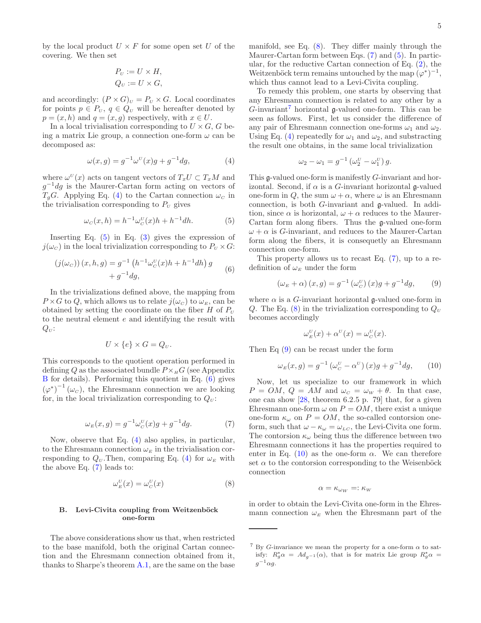5

by the local product  $U \times F$  for some open set U of the covering. We then set

$$
P_U := U \times H,
$$
  
\n
$$
Q_U := U \times G,
$$

and accordingly:  $(P \times G)_U = P_U \times G$ . Local coordinates for points  $p \in P_U$ ,  $q \in Q_U$  will be hereafter denoted by  $p = (x, h)$  and  $q = (x, q)$  respectively, with  $x \in U$ .

In a local trivialisation corresponding to  $U \times G$ , G being a matrix Lie group, a connection one-form  $\omega$  can be decomposed as:

<span id="page-4-1"></span>
$$
\omega(x,g) = g^{-1}\omega^U(x)g + g^{-1}dg,\tag{4}
$$

where  $\omega^U(x)$  acts on tangent vectors of  $T_xU \subset T_xM$  and  $g^{-1}dg$  is the Maurer-Cartan form acting on vectors of  $T_qG$ . Applying Eq. [\(4\)](#page-4-1) to the Cartan connection  $\omega_c$  in the trivialisation corresponding to  $P_U$  gives

<span id="page-4-2"></span>
$$
\omega_C(x, h) = h^{-1} \omega_C^U(x) h + h^{-1} dh.
$$
 (5)

Inserting Eq.  $(5)$  in Eq.  $(3)$  gives the expression of  $j(\omega_c)$  in the local trivialization corresponding to  $P_U \times G$ :

<span id="page-4-3"></span>
$$
(j(\omega_C)) (x, h, g) = g^{-1} (h^{-1} \omega_C^U(x) h + h^{-1} dh) g + g^{-1} dg,
$$
 (6)

In the trivializations defined above, the mapping from  $P \times G$  to Q, which allows us to relate  $j(\omega_C)$  to  $\omega_E$ , can be obtained by setting the coordinate on the fiber  $H$  of  $P_U$ to the neutral element e and identifying the result with  $Q_U$ :

$$
U \times \{e\} \times G = Q_U.
$$

This corresponds to the quotient operation performed in defining Q as the associated bundle  $P\times_H G$  (see Appendix [B](#page-7-3) for details). Performing this quotient in Eq. [\(6\)](#page-4-3) gives  $(\varphi^*)^{-1}(\omega_c)$ , the Ehresmann connection we are looking for, in the local trivialization corresponding to  $Q_{\nu}$ :

<span id="page-4-4"></span>
$$
\omega_E(x,g) = g^{-1}\omega_C^U(x)g + g^{-1}dg.
$$
\n<sup>(7)</sup>

Now, observe that Eq. [\(4\)](#page-4-1) also applies, in particular, to the Ehresmann connection  $\omega_E$  in the trivialisation corresponding to  $Q_U$ . Then, comparing Eq. [\(4\)](#page-4-1) for  $\omega_E$  with the above Eq. [\(7\)](#page-4-4) leads to:

<span id="page-4-5"></span>
$$
\omega_E^U(x) = \omega_C^U(x) \tag{8}
$$

## <span id="page-4-0"></span>B. Levi-Civita coupling from Weitzenböck one-form

The above considerations show us that, when restricted to the base manifold, both the original Cartan connection and the Ehresmann connection obtained from it, thanks to Sharpe's theorem [A.1,](#page-7-4) are the same on the base manifold, see Eq. [\(8\)](#page-4-5). They differ mainly through the Maurer-Cartan form between Eqs. [\(7\)](#page-4-4) and [\(5\)](#page-4-2). In particular, for the reductive Cartan connection of Eq. [\(2\)](#page-2-5), the Weitzenböck term remains untouched by the map  $(\varphi^*)^{-1}$ , which thus cannot lead to a Levi-Civita coupling.

To remedy this problem, one starts by observing that any Ehresmann connection is related to any other by a  $G$ -invariant<sup>[7](#page-4-6)</sup> horizontal  $\mathfrak g$ -valued one-form. This can be seen as follows. First, let us consider the difference of any pair of Ehresmann connection one-forms  $\omega_1$  and  $\omega_2$ . Using Eq. [\(4\)](#page-4-1) repeatedly for  $\omega_1$  and  $\omega_2$ , and substracting the result one obtains, in the same local trivialization

$$
\omega_2 - \omega_1 = g^{-1} \left( \omega_2^U - \omega_1^U \right) g.
$$

This g-valued one-form is manifestly G-invariant and horizontal. Second, if  $\alpha$  is a G-invariant horizontal g-valued one-form in Q, the sum  $\omega + \alpha$ , where  $\omega$  is an Ehresmann connection, is both G-invariant and g-valued. In addition, since  $\alpha$  is horizontal,  $\omega + \alpha$  reduces to the Maurer-Cartan form along fibers. Thus the g-valued one-form  $\omega + \alpha$  is G-invariant, and reduces to the Maurer-Cartan form along the fibers, it is consequetly an Ehresmann connection one-form.

This property allows us to recast Eq. [\(7\)](#page-4-4), up to a redefinition of  $\omega_E$  under the form

<span id="page-4-7"></span>
$$
\left(\omega_{E} + \alpha\right)(x, g) = g^{-1}\left(\omega_{C}^{U}\right)(x)g + g^{-1}dg,\qquad(9)
$$

where  $\alpha$  is a G-invariant horizontal g-valued one-form in Q. The Eq. [\(8\)](#page-4-5) in the trivialization corresponding to  $Q_U$ becomes accordingly

$$
\omega_E^U(x) + \alpha^U(x) = \omega_C^U(x).
$$

Then Eq [\(9\)](#page-4-7) can be recast under the form

<span id="page-4-8"></span>
$$
\omega_{E}(x,g) = g^{-1} \left(\omega_{C}^{U} - \alpha^{U}\right)(x)g + g^{-1}dg,\qquad(10)
$$

Now, let us specialize to our framework in which  $P = OM, Q = AM$  and  $\omega_C = \omega_W + \theta$ . In that case, one can show [\[28,](#page-8-23) theorem 6.2.5 p. 79] that, for a given Ehresmann one-form  $\omega$  on  $P = OM$ , there exist a unique one-form  $\kappa_{\omega}$  on  $P = OM$ , the so-called contorsion oneform, such that  $\omega - \kappa_{\omega} = \omega_{LC}$ , the Levi-Civita one form. The contorsion  $\kappa_{\omega}$  being thus the difference between two Ehresmann connections it has the properties required to enter in Eq. [\(10\)](#page-4-8) as the one-form  $\alpha$ . We can therefore set  $\alpha$  to the contorsion corresponding to the Weisenböck connection

$$
\alpha=\kappa_{\omega_W}=:\kappa_W
$$

in order to obtain the Levi-Civita one-form in the Ehresmann connection  $\omega_E$  when the Ehresmann part of the

<span id="page-4-6"></span><sup>&</sup>lt;sup>7</sup> By G-invariance we mean the property for a one-form  $\alpha$  to satisfy:  $R_g^* \alpha = Ad_{g^{-1}}(\alpha)$ , that is for matrix Lie group  $R_g^* \alpha =$  $g^{-1} \alpha g$ .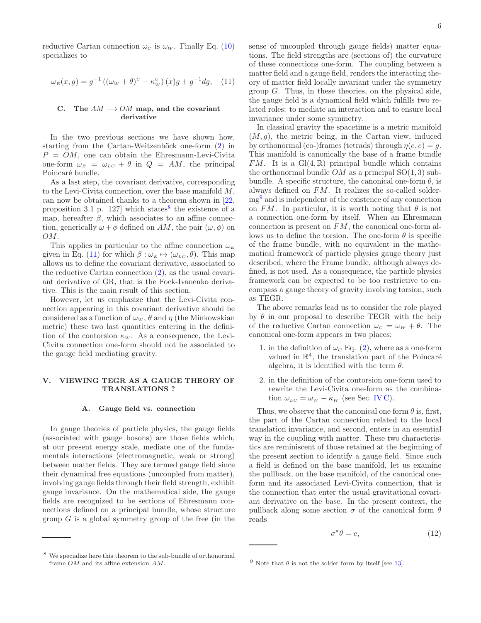reductive Cartan connection  $\omega_c$  is  $\omega_w$ . Finally Eq. [\(10\)](#page-4-8) specializes to

<span id="page-5-4"></span>
$$
\omega_{E}(x,g) = g^{-1} \left( (\omega_{W} + \theta)^{U} - \kappa_{W}^{U} \right)(x)g + g^{-1}dg, \quad (11)
$$

## <span id="page-5-0"></span>C. The  $AM \rightarrow OM$  map, and the covariant derivative

In the two previous sections we have shown how, starting from the Cartan-Weitzenböck one-form  $(2)$  in  $P = OM$ , one can obtain the Ehresmann-Levi-Civita one-form  $\omega_E = \omega_{LC} + \theta$  in  $Q = AM$ , the principal Poincaré bundle.

As a last step, the covariant derivative, corresponding to the Levi-Civita connection, over the base manifold M, can now be obtained thanks to a theorem shown in [\[22](#page-8-18), proposition 3.1 p. 127] which states<sup>[8](#page-5-3)</sup> the existence of a map, hereafter  $\beta$ , which associates to an affine connection, generically  $\omega + \phi$  defined on AM, the pair  $(\omega, \phi)$  on OM.

This applies in particular to the affine connection  $\omega_E$ given in Eq. [\(11\)](#page-5-4) for which  $\beta : \omega_E \mapsto (\omega_{LC}, \theta)$ . This map allows us to define the covariant derivative, associated to the reductive Cartan connection [\(2\)](#page-2-5), as the usual covariant derivative of GR, that is the Fock-Ivanenko derivative. This is the main result of this section.

However, let us emphasize that the Levi-Civita connection appearing in this covariant derivative should be considered as a function of  $\omega_W$ ,  $\theta$  and  $\eta$  (the Minkowskian metric) these two last quantities entering in the definition of the contorsion  $\kappa_w$ . As a consequence, the Levi-Civita connection one-form should not be associated to the gauge field mediating gravity.

## <span id="page-5-1"></span>V. VIEWING TEGR AS A GAUGE THEORY OF TRANSLATIONS ?

#### <span id="page-5-2"></span>A. Gauge field vs. connection

In gauge theories of particle physics, the gauge fields (associated with gauge bosons) are those fields which, at our present energy scale, mediate one of the fundamentals interactions (electromagnetic, weak or strong) between matter fields. They are termed gauge field since their dynamical free equations (uncoupled from matter), involving gauge fields through their field strength, exhibit gauge invariance. On the mathematical side, the gauge fields are recognized to be sections of Ehresmann connections defined on a principal bundle, whose structure group  $G$  is a global symmetry group of the free (in the

sense of uncoupled through gauge fields) matter equations. The field strengths are (sections of) the curvature of these connections one-form. The coupling between a matter field and a gauge field, renders the interacting theory of matter field locally invariant under the symmetry group  $G$ . Thus, in these theories, on the physical side, the gauge field is a dynamical field which fulfills two related roles: to mediate an interaction and to ensure local invariance under some symmetry.

In classical gravity the spacetime is a metric manifold  $(M, g)$ , the metric being, in the Cartan view, induced by orthonormal (co-)frames (tetrads) through  $\eta(e, e) = g$ . This manifold is canonically the base of a frame bundle FM. It is a  $Gl(4,\mathbb{R})$  principal bundle which contains the orthonormal bundle  $OM$  as a principal  $SO(1,3)$  subbundle. A specific structure, the canonical one-form  $\theta$ , is always defined on FM. It realizes the so-called soldering[9](#page-5-5) and is independent of the existence of any connection on FM. In particular, it is worth noting that  $\theta$  is not a connection one-form by itself. When an Ehresmann connection is present on FM, the canonical one-form allows us to define the torsion. The one-form  $\theta$  is specific of the frame bundle, with no equivalent in the mathematical framework of particle physics gauge theory just described, where the Frame bundle, although always defined, is not used. As a consequence, the particle physics framework can be expected to be too restrictive to encompass a gauge theory of gravity involving torsion, such as TEGR.

The above remarks lead us to consider the role played by  $\theta$  in our proposal to describe TEGR with the help of the reductive Cartan connection  $\omega_c = \omega_w + \theta$ . The canonical one-form appears in two places:

- 1. in the definition of  $\omega_c$  Eq. [\(2\)](#page-2-5), where as a one-form valued in  $\mathbb{R}^4$ , the translation part of the Poincaré algebra, it is identified with the term  $\theta$ .
- 2. in the definition of the contorsion one-form used to rewrite the Levi-Civita one-form as the combination  $\omega_{LC} = \omega_W - \kappa_W$  (see Sec. [IV C\)](#page-5-0).

Thus, we observe that the canonical one form  $\theta$  is, first, the part of the Cartan connection related to the local translation invariance, and second, enters in an essential way in the coupling with matter. These two characteristics are reminiscent of those retained at the beginning of the present section to identify a gauge field. Since such a field is defined on the base manifold, let us examine the pullback, on the base manifold, of the canonical oneform and its associated Levi-Civita connection, that is the connection that enter the usual gravitational covariant derivative on the base. In the present context, the pullback along some section  $\sigma$  of the canonical form  $\theta$ reads

<span id="page-5-6"></span>
$$
\sigma^* \theta = e,\tag{12}
$$

<span id="page-5-3"></span><sup>8</sup> We specialize here this theorem to the sub-bundle of orthonormal frame OM and its affine extension AM.

<span id="page-5-5"></span><sup>&</sup>lt;sup>9</sup> Note that  $\theta$  is not the solder form by itself [see [13\]](#page-8-13).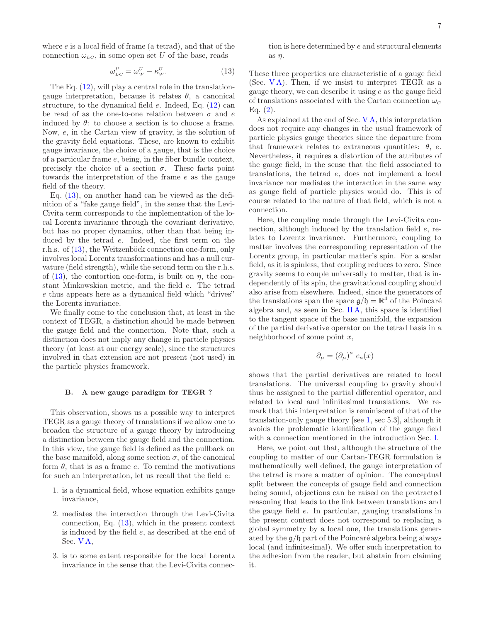where  $e$  is a local field of frame (a tetrad), and that of the connection  $\omega_{LC}$ , in some open set U of the base, reads

<span id="page-6-1"></span>
$$
\omega_{_{LC}}^{^{U}} = \omega_{_W}^{^{U}} - \kappa_{_W}^{^{U}}.\tag{13}
$$

The Eq.  $(12)$ , will play a central role in the translationgauge interpretation, because it relates  $\theta$ , a canonical structure, to the dynamical field e. Indeed, Eq. [\(12\)](#page-5-6) can be read of as the one-to-one relation between  $\sigma$  and  $e$ induced by  $\theta$ : to choose a section is to choose a frame. Now, e, in the Cartan view of gravity, is the solution of the gravity field equations. These, are known to exhibit gauge invariance, the choice of a gauge, that is the choice of a particular frame e, being, in the fiber bundle context, precisely the choice of a section  $\sigma$ . These facts point towards the interpretation of the frame e as the gauge field of the theory.

Eq. [\(13\)](#page-6-1), on another hand can be viewed as the definition of a "fake gauge field", in the sense that the Levi-Civita term corresponds to the implementation of the local Lorentz invariance through the covariant derivative, but has no proper dynamics, other than that being induced by the tetrad e. Indeed, the first term on the r.h.s. of  $(13)$ , the Weitzenböck connection one-form, only involves local Lorentz transformations and has a null curvature (field strength), while the second term on the r.h.s. of  $(13)$ , the contortion one-form, is built on  $\eta$ , the constant Minkowskian metric, and the field e. The tetrad e thus appears here as a dynamical field which "drives" the Lorentz invariance.

We finally come to the conclusion that, at least in the context of TEGR, a distinction should be made between the gauge field and the connection. Note that, such a distinction does not imply any change in particle physics theory (at least at our energy scale), since the structures involved in that extension are not present (not used) in the particle physics framework.

### <span id="page-6-0"></span>B. A new gauge paradigm for TEGR ?

This observation, shows us a possible way to interpret TEGR as a gauge theory of translations if we allow one to broaden the structure of a gauge theory by introducing a distinction between the gauge field and the connection. In this view, the gauge field is defined as the pullback on the base manifold, along some section  $\sigma$ , of the canonical form  $\theta$ , that is as a frame e. To remind the motivations for such an interpretation, let us recall that the field  $e$ :

- 1. is a dynamical field, whose equation exhibits gauge invariance,
- 2. mediates the interaction through the Levi-Civita connection, Eq. [\(13\)](#page-6-1), which in the present context is induced by the field e, as described at the end of Sec. [V A,](#page-5-2)
- 3. is to some extent responsible for the local Lorentz invariance in the sense that the Levi-Civita connec-

tion is here determined by  $e$  and structural elements as  $\eta$ .

These three properties are characteristic of a gauge field (Sec. [V A\)](#page-5-2). Then, if we insist to interpret TEGR as a gauge theory, we can describe it using e as the gauge field of translations associated with the Cartan connection  $\omega_c$ Eq.  $(2)$ .

As explained at the end of Sec. [V A,](#page-5-2) this interpretation does not require any changes in the usual framework of particle physics gauge theories since the departure from that framework relates to extraneous quantities:  $\theta$ , e. Nevertheless, it requires a distortion of the attributes of the gauge field, in the sense that the field associated to translations, the tetrad e, does not implement a local invariance nor mediates the interaction in the same way as gauge field of particle physics would do. This is of course related to the nature of that field, which is not a connection.

Here, the coupling made through the Levi-Civita connection, although induced by the translation field e, relates to Lorentz invariance. Furthermore, coupling to matter involves the corresponding representation of the Lorentz group, in particular matter's spin. For a scalar field, as it is spinless, that coupling reduces to zero. Since gravity seems to couple universally to matter, that is independently of its spin, the gravitational coupling should also arise from elsewhere. Indeed, since the generators of the translations span the space  $\mathfrak{g}/\mathfrak{h} = \mathbb{R}^4$  of the Poincaré algebra and, as seen in Sec. [II A,](#page-1-1) this space is identified to the tangent space of the base manifold, the expansion of the partial derivative operator on the tetrad basis in a neighborhood of some point  $x$ ,

$$
\partial_{\mu} = (\partial_{\mu})^{a} e_{a}(x)
$$

shows that the partial derivatives are related to local translations. The universal coupling to gravity should thus be assigned to the partial differential operator, and related to local and infinitesimal translations. We remark that this interpretation is reminiscent of that of the translation-only gauge theory [see [1](#page-8-1), sec 5.3], although it avoids the problematic identification of the gauge field with a connection mentioned in the introduction Sec. [I.](#page-0-3)

Here, we point out that, although the structure of the coupling to matter of our Cartan-TEGR formulation is mathematically well defined, the gauge interpretation of the tetrad is more a matter of opinion. The conceptual split between the concepts of gauge field and connection being sound, objections can be raised on the protracted reasoning that leads to the link between translations and the gauge field e. In particular, gauging translations in the present context does not correspond to replacing a global symmetry by a local one, the translations generated by the  $\mathfrak{g}/\mathfrak{h}$  part of the Poincaré algebra being always local (and infinitesimal). We offer such interpretation to the adhesion from the reader, but abstain from claiming it.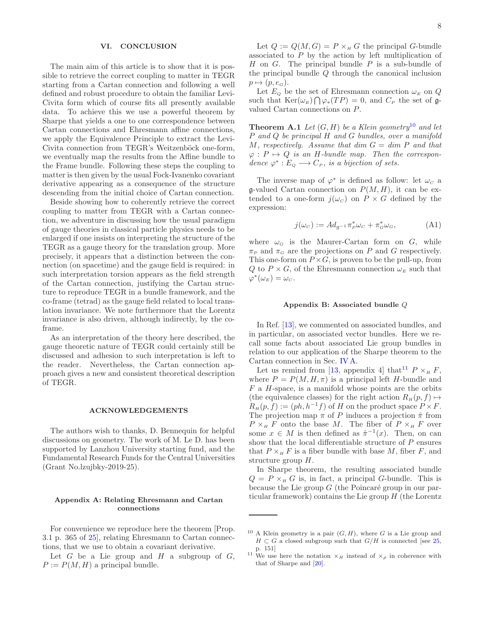## <span id="page-7-0"></span>VI. CONCLUSION

The main aim of this article is to show that it is possible to retrieve the correct coupling to matter in TEGR starting from a Cartan connection and following a well defined and robust procedure to obtain the familiar Levi-Civita form which of course fits all presently available data. To achieve this we use a powerful theorem by Sharpe that yields a one to one correspondence between Cartan connections and Ehresmann affine connections, we apply the Equivalence Principle to extract the Levi-Civita connection from TEGR's Weitzenböck one-form, we eventually map the results from the Affine bundle to the Frame bundle. Following these steps the coupling to matter is then given by the usual Fock-Ivanenko covariant derivative appearing as a consequence of the structure descending from the initial choice of Cartan connection.

Beside showing how to coherently retrieve the correct coupling to matter from TEGR with a Cartan connection, we adventure in discussing how the usual paradigm of gauge theories in classical particle physics needs to be enlarged if one insists on interpreting the structure of the TEGR as a gauge theory for the translation group. More precisely, it appears that a distinction between the connection (on spacetime) and the gauge field is required: in such interpretation torsion appears as the field strength of the Cartan connection, justifying the Cartan structure to reproduce TEGR in a bundle framework, and the co-frame (tetrad) as the gauge field related to local translation invariance. We note furthermore that the Lorentz invariance is also driven, although indirectly, by the coframe.

As an interpretation of the theory here described, the gauge theoretic nature of TEGR could certainly still be discussed and adhesion to such interpretation is left to the reader. Nevertheless, the Cartan connection approach gives a new and consistent theoretical description of TEGR.

#### <span id="page-7-1"></span>ACKNOWLEDGEMENTS

The authors wish to thanks, D. Bennequin for helpful discussions on geometry. The work of M. Le D. has been supported by Lanzhou University starting fund, and the Fundamental Research Funds for the Central Universities (Grant No.lzujbky-2019-25).

## <span id="page-7-2"></span>Appendix A: Relating Ehresmann and Cartan connections

For convenience we reproduce here the theorem [Prop. 3.1 p. 365 of [25\]](#page-8-21), relating Ehresmann to Cartan connections, that we use to obtain a covariant derivative.

Let  $G$  be a Lie group and  $H$  a subgroup of  $G$ ,  $P := P(M, H)$  a principal bundle.

Let  $Q := Q(M, G) = P \times_H G$  the principal G-bundle associated to  $P$  by the action by left multiplication of  $H$  on  $G$ . The principal bundle  $P$  is a sub-bundle of the principal bundle Q through the canonical inclusion  $p \mapsto (p, e_G).$ 

<span id="page-7-4"></span>Let  $E_Q$  be the set of Ehresmann connection  $\omega_E$  on Q such that  $\text{Ker}(\omega_E) \bigcap \varphi_*(TP) = 0$ , and  $C_P$  the set of  $\mathfrak{g}$ valued Cartan connections on P.

**Theorem A.1** Let  $(G, H)$  be a Klein geometry<sup>[10](#page-7-6)</sup> and let P and Q be principal H and G bundles, over a manifold M, respectively. Assume that dim  $G = \dim P$  and that  $\varphi : P \mapsto Q$  is an H-bundle map. Then the correspondence  $\varphi^*: E_Q \longrightarrow C_P$ , is a bijection of sets.

The inverse map of  $\varphi^*$  is defined as follow: let  $\omega_c$  a g-valued Cartan connection on  $P(M, H)$ , it can be extended to a one-form  $j(\omega_c)$  on  $P \times G$  defined by the expression:

<span id="page-7-5"></span>
$$
j(\omega_C) := Ad_{g^{-1}} \pi_P^* \omega_C + \pi_G^* \omega_G, \tag{A1}
$$

where  $\omega_G$  is the Maurer-Cartan form on G, while  $\pi_P$  and  $\pi_G$  are the projections on P and G respectively. This one-form on  $P \times G$ , is proven to be the pull-up, from Q to  $P \times G$ , of the Ehresmann connection  $\omega_E$  such that  $\varphi^*(\omega_E) = \omega_C$ .

#### <span id="page-7-3"></span>Appendix B: Associated bundle Q

In Ref. [\[13](#page-8-13)], we commented on associated bundles, and in particular, on associated vector bundles. Here we recall some facts about associated Lie group bundles in relation to our application of the Sharpe theorem to the Cartan connection in Sec. [IV A.](#page-3-1)

Let us remind from [\[13,](#page-8-13) appendix 4] that  $P \times_H F$ , where  $P = P(M, H, \pi)$  is a principal left H-bundle and F a H-space, is a manifold whose points are the orbits (the equivalence classes) for the right action  $R_H(p, f) \mapsto$  $R_H(p, f) := (ph, h^{-1}f)$  of H on the product space  $P \times F$ . The projection map  $\pi$  of P induces a projection  $\hat{\pi}$  from  $P \times_H F$  onto the base M. The fiber of  $P \times_H F$  over some  $x \in M$  is then defined as  $\hat{\pi}^{-1}(x)$ . Then, on can show that the local differentiable structure of P ensures that  $P \times_H F$  is a fiber bundle with base M, fiber F, and structure group H.

In Sharpe theorem, the resulting associated bundle  $Q = P \times_H G$  is, in fact, a principal G-bundle. This is because the Lie group  $G$  (the Poincaré group in our particular framework) contains the Lie group  $H$  (the Lorentz

<span id="page-7-6"></span><sup>&</sup>lt;sup>10</sup> A Klein geometry is a pair  $(G, H)$ , where G is a Lie group and  $H \subset G$  a closed subgroup such that  $G/H$  is connected [see [25,](#page-8-21) p. 151]

<span id="page-7-7"></span><sup>&</sup>lt;sup>11</sup> We use here the notation  $\times_H$  instead of  $\times_\rho$  in coherence with that of Sharpe and [\[20](#page-8-26)].